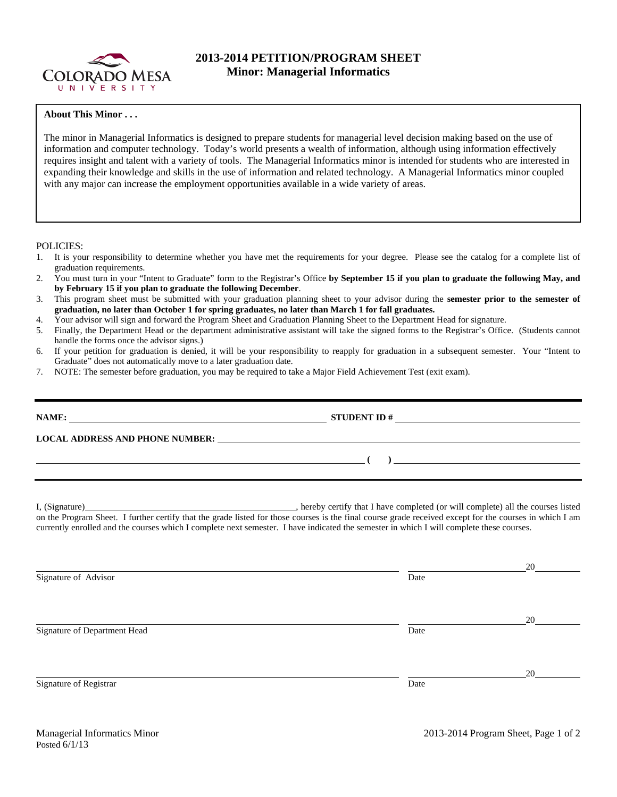

## **2013-2014 PETITION/PROGRAM SHEET Minor: Managerial Informatics**

## **About This Minor . . .**

The minor in Managerial Informatics is designed to prepare students for managerial level decision making based on the use of information and computer technology. Today's world presents a wealth of information, although using information effectively requires insight and talent with a variety of tools. The Managerial Informatics minor is intended for students who are interested in expanding their knowledge and skills in the use of information and related technology. A Managerial Informatics minor coupled with any major can increase the employment opportunities available in a wide variety of areas.

## POLICIES:

- 1. It is your responsibility to determine whether you have met the requirements for your degree. Please see the catalog for a complete list of graduation requirements.
- 2. You must turn in your "Intent to Graduate" form to the Registrar's Office **by September 15 if you plan to graduate the following May, and by February 15 if you plan to graduate the following December**.
- 3. This program sheet must be submitted with your graduation planning sheet to your advisor during the **semester prior to the semester of graduation, no later than October 1 for spring graduates, no later than March 1 for fall graduates.**
- 4. Your advisor will sign and forward the Program Sheet and Graduation Planning Sheet to the Department Head for signature.
- 5. Finally, the Department Head or the department administrative assistant will take the signed forms to the Registrar's Office. (Students cannot handle the forms once the advisor signs.)
- 6. If your petition for graduation is denied, it will be your responsibility to reapply for graduation in a subsequent semester. Your "Intent to Graduate" does not automatically move to a later graduation date.
- 7. NOTE: The semester before graduation, you may be required to take a Major Field Achievement Test (exit exam).

| the contract of the contract of the contract of the contract of the contract of the contract of the contract of |                                                                                                                                                                                                                                                                                                     | $\overline{a}$ |  |
|-----------------------------------------------------------------------------------------------------------------|-----------------------------------------------------------------------------------------------------------------------------------------------------------------------------------------------------------------------------------------------------------------------------------------------------|----------------|--|
|                                                                                                                 |                                                                                                                                                                                                                                                                                                     |                |  |
|                                                                                                                 | on the Program Sheet. I further certify that the grade listed for those courses is the final course grade received except for the courses in which I am<br>currently enrolled and the courses which I complete next semester. I have indicated the semester in which I will complete these courses. |                |  |
|                                                                                                                 |                                                                                                                                                                                                                                                                                                     | 20             |  |
| Signature of Advisor                                                                                            | Date                                                                                                                                                                                                                                                                                                |                |  |
|                                                                                                                 |                                                                                                                                                                                                                                                                                                     | 20             |  |
| Signature of Department Head                                                                                    | Date                                                                                                                                                                                                                                                                                                |                |  |
|                                                                                                                 |                                                                                                                                                                                                                                                                                                     |                |  |
| Signature of Registrar                                                                                          | Date                                                                                                                                                                                                                                                                                                | 20             |  |